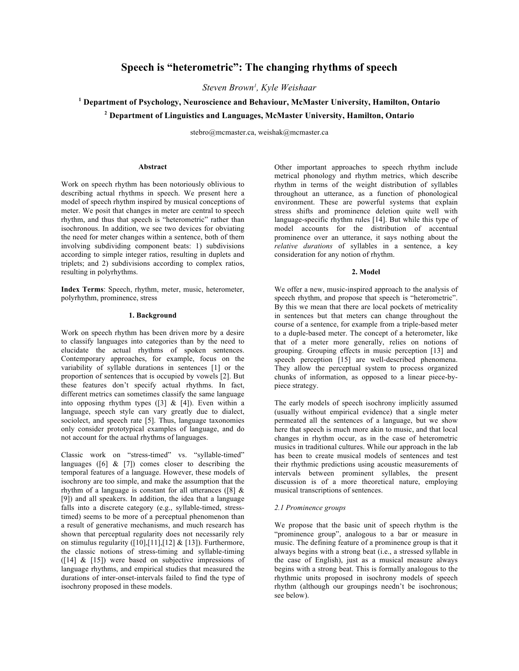# **Speech is "heterometric": The changing rhythms of speech**

*Steven Brown1 , Kyle Weishaar*

## **<sup>1</sup> Department of Psychology, Neuroscience and Behaviour, McMaster University, Hamilton, Ontario**

**<sup>2</sup> Department of Linguistics and Languages, McMaster University, Hamilton, Ontario**

stebro@mcmaster.ca, weishak@mcmaster.ca

#### **Abstract**

Work on speech rhythm has been notoriously oblivious to describing actual rhythms in speech. We present here a model of speech rhythm inspired by musical conceptions of meter. We posit that changes in meter are central to speech rhythm, and thus that speech is "heterometric" rather than isochronous. In addition, we see two devices for obviating the need for meter changes within a sentence, both of them involving subdividing component beats: 1) subdivisions according to simple integer ratios, resulting in duplets and triplets; and 2) subdivisions according to complex ratios, resulting in polyrhythms.

**Index Terms**: Speech, rhythm, meter, music, heterometer, polyrhythm, prominence, stress

#### **1. Background**

Work on speech rhythm has been driven more by a desire to classify languages into categories than by the need to elucidate the actual rhythms of spoken sentences. Contemporary approaches, for example, focus on the variability of syllable durations in sentences [1] or the proportion of sentences that is occupied by vowels [2]. But these features don't specify actual rhythms. In fact, different metrics can sometimes classify the same language into opposing rhythm types  $(3)$  &  $[4]$ ). Even within a language, speech style can vary greatly due to dialect, sociolect, and speech rate [5]. Thus, language taxonomies only consider prototypical examples of language, and do not account for the actual rhythms of languages.

Classic work on "stress-timed" vs. "syllable-timed" languages ( $[6]$  &  $[7]$ ) comes closer to describing the temporal features of a language. However, these models of isochrony are too simple, and make the assumption that the rhythm of a language is constant for all utterances ([8] & [9]) and all speakers. In addition, the idea that a language falls into a discrete category (e.g., syllable-timed, stresstimed) seems to be more of a perceptual phenomenon than a result of generative mechanisms, and much research has shown that perceptual regularity does not necessarily rely on stimulus regularity  $([10],[11],[12] \& [13])$ . Furthermore, the classic notions of stress-timing and syllable-timing  $([14] \& [15])$  were based on subjective impressions of language rhythms, and empirical studies that measured the durations of inter-onset-intervals failed to find the type of isochrony proposed in these models.

Other important approaches to speech rhythm include metrical phonology and rhythm metrics, which describe rhythm in terms of the weight distribution of syllables throughout an utterance, as a function of phonological environment. These are powerful systems that explain stress shifts and prominence deletion quite well with language-specific rhythm rules [14]. But while this type of model accounts for the distribution of accentual prominence over an utterance, it says nothing about the *relative durations* of syllables in a sentence, a key consideration for any notion of rhythm.

#### **2. Model**

We offer a new, music-inspired approach to the analysis of speech rhythm, and propose that speech is "heterometric". By this we mean that there are local pockets of metricality in sentences but that meters can change throughout the course of a sentence, for example from a triple-based meter to a duple-based meter. The concept of a heterometer, like that of a meter more generally, relies on notions of grouping. Grouping effects in music perception [13] and speech perception [15] are well-described phenomena. They allow the perceptual system to process organized chunks of information, as opposed to a linear piece-bypiece strategy.

The early models of speech isochrony implicitly assumed (usually without empirical evidence) that a single meter permeated all the sentences of a language, but we show here that speech is much more akin to music, and that local changes in rhythm occur, as in the case of heterometric musics in traditional cultures. While our approach in the lab has been to create musical models of sentences and test their rhythmic predictions using acoustic measurements of intervals between prominent syllables, the present discussion is of a more theoretical nature, employing musical transcriptions of sentences.

#### *2.1 Prominence groups*

We propose that the basic unit of speech rhythm is the "prominence group", analogous to a bar or measure in music. The defining feature of a prominence group is that it always begins with a strong beat (i.e., a stressed syllable in the case of English), just as a musical measure always begins with a strong beat. This is formally analogous to the rhythmic units proposed in isochrony models of speech rhythm (although our groupings needn't be isochronous; see below).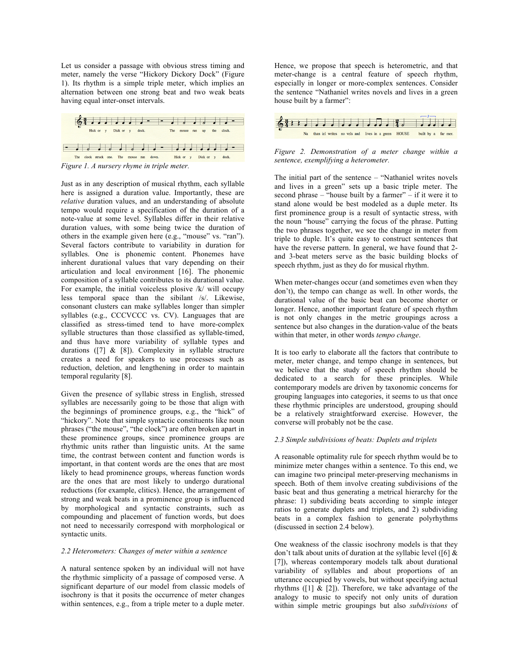Let us consider a passage with obvious stress timing and meter, namely the verse "Hickory Dickory Dock" (Figure 1). Its rhythm is a simple triple meter, which implies an alternation between one strong beat and two weak beats having equal inter-onset intervals.



Just as in any description of musical rhythm, each syllable here is assigned a duration value. Importantly, these are *relative* duration values, and an understanding of absolute tempo would require a specification of the duration of a note-value at some level. Syllables differ in their relative duration values, with some being twice the duration of others in the example given here (e.g., "mouse" vs. "ran"). Several factors contribute to variability in duration for syllables. One is phonemic content. Phonemes have inherent durational values that vary depending on their articulation and local environment [16]. The phonemic composition of a syllable contributes to its durational value. For example, the initial voiceless plosive /k/ will occupy less temporal space than the sibilant /s/. Likewise, consonant clusters can make syllables longer than simpler syllables (e.g., CCCVCCC vs. CV). Languages that are classified as stress-timed tend to have more-complex syllable structures than those classified as syllable-timed, and thus have more variability of syllable types and durations ( $[7]$  &  $[8]$ ). Complexity in syllable structure creates a need for speakers to use processes such as reduction, deletion, and lengthening in order to maintain temporal regularity [8].

Given the presence of syllabic stress in English, stressed syllables are necessarily going to be those that align with the beginnings of prominence groups, e.g., the "hick" of "hickory". Note that simple syntactic constituents like noun phrases ("the mouse", "the clock") are often broken apart in these prominence groups, since prominence groups are rhythmic units rather than linguistic units. At the same time, the contrast between content and function words is important, in that content words are the ones that are most likely to head prominence groups, whereas function words are the ones that are most likely to undergo durational reductions (for example, clitics). Hence, the arrangement of strong and weak beats in a prominence group is influenced by morphological and syntactic constraints, such as compounding and placement of function words, but does not need to necessarily correspond with morphological or syntactic units.

#### *2.2 Heterometers: Changes of meter within a sentence*

A natural sentence spoken by an individual will not have the rhythmic simplicity of a passage of composed verse. A significant departure of our model from classic models of isochrony is that it posits the occurrence of meter changes within sentences, e.g., from a triple meter to a duple meter.

Hence, we propose that speech is heterometric, and that meter-change is a central feature of speech rhythm, especially in longer or more-complex sentences. Consider the sentence "Nathaniel writes novels and lives in a green house built by a farmer":



#### *Figure 2. Demonstration of a meter change within a sentence, exemplifying a heterometer.*

The initial part of the sentence – "Nathaniel writes novels and lives in a green" sets up a basic triple meter. The second phrase – "house built by a farmer" – if it were it to stand alone would be best modeled as a duple meter. Its first prominence group is a result of syntactic stress, with the noun "house" carrying the focus of the phrase. Putting the two phrases together, we see the change in meter from triple to duple. It's quite easy to construct sentences that have the reverse pattern. In general, we have found that 2 and 3-beat meters serve as the basic building blocks of speech rhythm, just as they do for musical rhythm.

When meter-changes occur (and sometimes even when they don't), the tempo can change as well. In other words, the durational value of the basic beat can become shorter or longer. Hence, another important feature of speech rhythm is not only changes in the metric groupings across a sentence but also changes in the duration-value of the beats within that meter, in other words *tempo change*.

It is too early to elaborate all the factors that contribute to meter, meter change, and tempo change in sentences, but we believe that the study of speech rhythm should be dedicated to a search for these principles. While contemporary models are driven by taxonomic concerns for grouping languages into categories, it seems to us that once these rhythmic principles are understood, grouping should be a relatively straightforward exercise. However, the converse will probably not be the case.

#### *2.3 Simple subdivisions of beats: Duplets and triplets*

A reasonable optimality rule for speech rhythm would be to minimize meter changes within a sentence. To this end, we can imagine two principal meter-preserving mechanisms in speech. Both of them involve creating subdivisions of the basic beat and thus generating a metrical hierarchy for the phrase: 1) subdividing beats according to simple integer ratios to generate duplets and triplets, and 2) subdividing beats in a complex fashion to generate polyrhythms (discussed in section 2.4 below).

One weakness of the classic isochrony models is that they don't talk about units of duration at the syllabic level ([6]  $\&$ [7]), whereas contemporary models talk about durational variability of syllables and about proportions of an utterance occupied by vowels, but without specifying actual rhythms ( $\lceil 1 \rceil \& \lceil 2 \rceil$ ). Therefore, we take advantage of the analogy to music to specify not only units of duration within simple metric groupings but also *subdivisions* of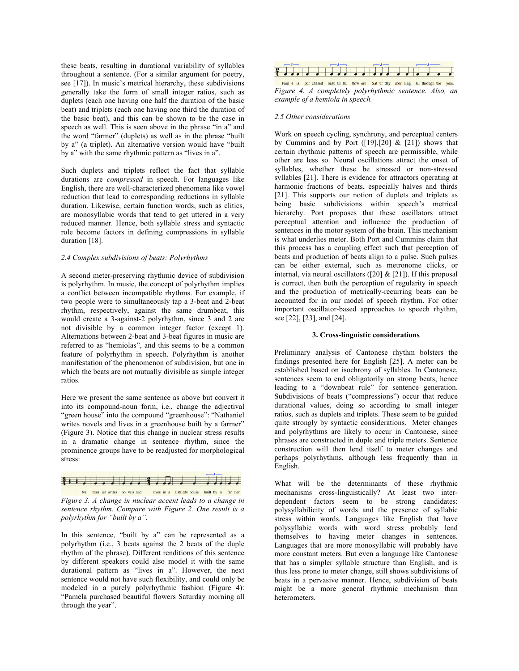these beats, resulting in durational variability of syllables throughout a sentence. (For a similar argument for poetry, see [17]). In music's metrical hierarchy, these subdivisions generally take the form of small integer ratios, such as duplets (each one having one half the duration of the basic beat) and triplets (each one having one third the duration of the basic beat), and this can be shown to be the case in speech as well. This is seen above in the phrase "in a" and the word "farmer" (duplets) as well as in the phrase "built by a" (a triplet). An alternative version would have "built by a" with the same rhythmic pattern as "lives in a".

Such duplets and triplets reflect the fact that syllable durations are *compressed* in speech. For languages like English, there are well-characterized phenomena like vowel reduction that lead to corresponding reductions in syllable duration. Likewise, certain function words, such as clitics, are monosyllabic words that tend to get uttered in a very reduced manner. Hence, both syllable stress and syntactic role become factors in defining compressions in syllable duration [18].

### *2.4 Complex subdivisions of beats: Polyrhythms*

A second meter-preserving rhythmic device of subdivision is polyrhythm. In music, the concept of polyrhythm implies a conflict between incompatible rhythms. For example, if two people were to simultaneously tap a 3-beat and 2-beat rhythm, respectively, against the same drumbeat, this would create a 3-against-2 polyrhythm, since 3 and 2 are not divisible by a common integer factor (except 1). Alternations between 2-beat and 3-beat figures in music are referred to as "hemiolas", and this seems to be a common feature of polyrhythm in speech. Polyrhythm is another manifestation of the phenomenon of subdivision, but one in which the beats are not mutually divisible as simple integer ratios.

Here we present the same sentence as above but convert it into its compound-noun form, i.e., change the adjectival "green house" into the compound "greenhouse": "Nathaniel" writes novels and lives in a greenhouse built by a farmer" (Figure 3). Notice that this change in nuclear stress results in a dramatic change in sentence rhythm, since the prominence groups have to be readjusted for morphological stress:



Na than iel writes no vels and lives in a GREEN house built by a far mer. *Figure 3. A change in nuclear accent leads to a change in sentence rhythm. Compare with Figure 2. One result is a polyrhythm for "built by a".* 

In this sentence, "built by a" can be represented as a polyrhythm (i.e., 3 beats against the 2 beats of the duple rhythm of the phrase). Different renditions of this sentence by different speakers could also model it with the same durational pattern as "lives in a". However, the next sentence would not have such flexibility, and could only be modeled in a purely polyrhythmic fashion (Figure 4): "Pamela purchased beautiful flowers Saturday morning all through the year".



Pam e la pur chased beau til ful flow ers Sat ur day mor ning all through the year. *Figure 4. A completely polyrhythmic sentence. Also, an example of a hemiola in speech.* 

### *2.5 Other considerations*

Work on speech cycling, synchrony, and perceptual centers by Cummins and by Port  $([19],[20] \& [21])$  shows that certain rhythmic patterns of speech are permissible, while other are less so. Neural oscillations attract the onset of syllables, whether these be stressed or non-stressed syllables [21]. There is evidence for attractors operating at harmonic fractions of beats, especially halves and thirds [21]. This supports our notion of duplets and triplets as being basic subdivisions within speech's metrical hierarchy. Port proposes that these oscillators attract perceptual attention and influence the production of sentences in the motor system of the brain. This mechanism is what underlies meter. Both Port and Cummins claim that this process has a coupling effect such that perception of beats and production of beats align to a pulse. Such pulses can be either external, such as metronome clicks, or internal, via neural oscillators ([20]  $&$  [21]). If this proposal is correct, then both the perception of regularity in speech and the production of metrically-recurring beats can be accounted for in our model of speech rhythm. For other important oscillator-based approaches to speech rhythm, see [22], [23], and [24].

#### **3. Cross-linguistic considerations**

Preliminary analysis of Cantonese rhythm bolsters the findings presented here for English [25]. A meter can be established based on isochrony of syllables. In Cantonese, sentences seem to end obligatorily on strong beats, hence leading to a "downbeat rule" for sentence generation. Subdivisions of beats ("compressions") occur that reduce durational values, doing so according to small integer ratios, such as duplets and triplets. These seem to be guided quite strongly by syntactic considerations. Meter changes and polyrhythms are likely to occur in Cantonese, since phrases are constructed in duple and triple meters. Sentence construction will then lend itself to meter changes and perhaps polyrhythms, although less frequently than in English.

What will be the determinants of these rhythmic mechanisms cross-linguistically? At least two interdependent factors seem to be strong candidates: polysyllabilicity of words and the presence of syllabic stress within words. Languages like English that have polysyllabic words with word stress probably lend themselves to having meter changes in sentences. Languages that are more monosyllabic will probably have more constant meters. But even a language like Cantonese that has a simpler syllable structure than English, and is thus less prone to meter change, still shows subdivisions of beats in a pervasive manner. Hence, subdivision of beats might be a more general rhythmic mechanism than heterometers.